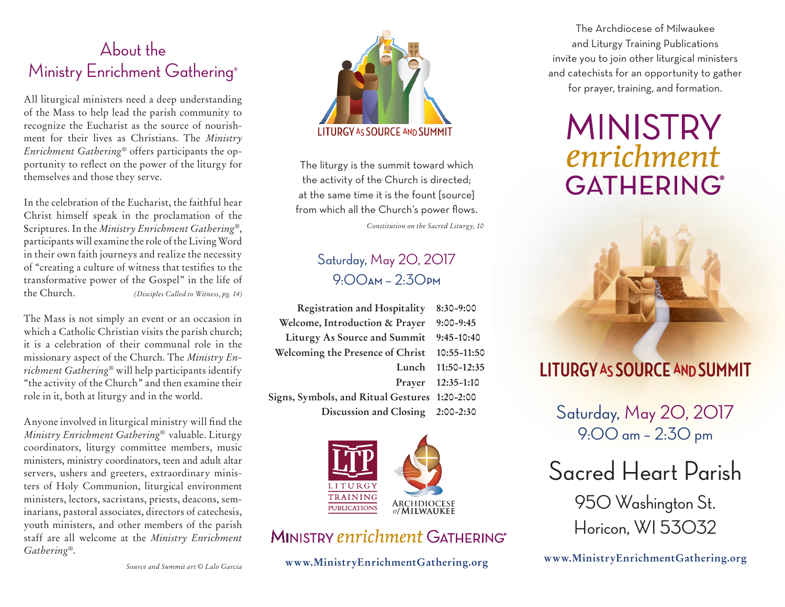## About the Ministry Enrichment Gathering®

All liturgical ministers need a deep understanding of the Mass to help lead the parish community to recognize the Eucharist as the source of nourishment for their lives as Christians. The *Ministry Enrichment Gathering*® offers participants the opportunity to reflect on the power of the liturgy for themselves and those they serve.

In the celebration of the Eucharist, the faithful hear Christ himself speak in the proclamation of the Scriptures. In the *Ministry Enrichment Gathering*®, participants will examine the role of the Living Word in their own faith journeys and realize the necessity of "creating a culture of witness that testifies to the transformative power of the Gospel" in the life of the Church. *(Disciples Called to Witness, pg. 14)*

The Mass is not simply an event or an occasion in which a Catholic Christian visits the parish church; it is a celebration of their communal role in the missionary aspect of the Church. The *Ministry Enrichment Gathering*® will help participants identify "the activity of the Church" and then examine their role in it, both at liturgy and in the world.

Anyone involved in liturgical ministry will find the *Ministry Enrichment Gathering*® valuable. Liturgy coordinators, liturgy committee members, music ministers, ministry coordinators, teen and adult altar servers, ushers and greeters, extraordinary ministers of Holy Communion, liturgical environment ministers, lectors, sacristans, priests, deacons, seminarians, pastoral associates, directors of catechesis, youth ministers, and other members of the parish staff are all welcome at the *Ministry Enrichment Gathering*®.



The liturgy is the summit toward which the activity of the Church is directed; at the same time it is the fount [source] from which all the Church's power flows.

*Constitution on the Sacred Liturgy, 10*

### Saturday, May 20, 2017 9:00**AM** – 2:30**PM**

| <b>Registration and Hospitality</b>           | $8:30 - 9:00$     |
|-----------------------------------------------|-------------------|
| Welcome, Introduction & Prayer                | $9:00-9:45$       |
| Liturgy As Source and Summit                  | $9:45-10:40$      |
| Welcoming the Presence of Christ              | 10:55-11:50       |
| Lunch                                         | 11:50-12:35       |
|                                               | Prayer 12:35-1:10 |
| Signs, Symbols, and Ritual Gestures 1:20-2:00 |                   |
| Discussion and Closing 2:00-2:30              |                   |



### MINISTRY enrichment GATHERING®

**www.MinistryEnrichmentGathering.org**

The Archdiocese of Milwaukee and Liturgy Training Publications invite you to join other liturgical ministers and catechists for an opportunity to gather for prayer, training, and formation.

# **MINISTRY** enrichment **GATHERING®**



# **LITURGY AS SOURCE AND SUMMIT**

Saturday, May 20, 2017 9:00 am – 2:30 pm

Sacred Heart Parish 950 Washington St.

Horicon, WI 53032

**www.MinistryEnrichmentGathering.org**